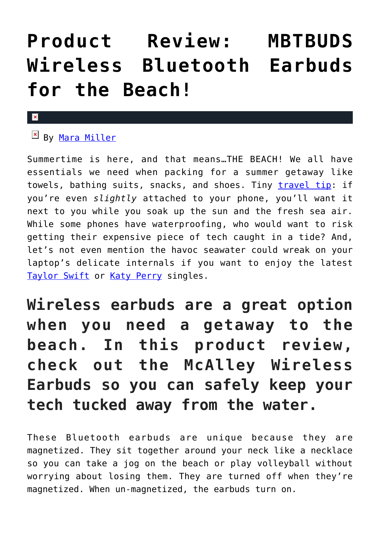## **[Product Review: MBTBUDS](https://cupidspulse.com/131234/product-review-mbtbuds-wireless-bluetooth-earbuds-beach/) [Wireless Bluetooth Earbuds](https://cupidspulse.com/131234/product-review-mbtbuds-wireless-bluetooth-earbuds-beach/) [for the Beach!](https://cupidspulse.com/131234/product-review-mbtbuds-wireless-bluetooth-earbuds-beach/)**

## ×

## **EX By [Mara Miller](http://cupidspulse.com/128278/mara-miller/)**

Summertime is here, and that means…THE BEACH! We all have essentials we need when packing for a summer getaway like towels, bathing suits, snacks, and shoes. Tiny [travel tip](http://cupidspulse.com/?s=travel+tip): if you're even *slightly* attached to your phone, you'll want it next to you while you soak up the sun and the fresh sea air. While some phones have waterproofing, who would want to risk getting their expensive piece of tech caught in a tide? And, let's not even mention the havoc seawater could wreak on your laptop's delicate internals if you want to enjoy the latest [Taylor Swift](http://cupidspulse.com/86081/taylor-swift/) or [Katy Perry](http://cupidspulse.com/86093/katy-perry/) singles.

**Wireless earbuds are a great option when you need a getaway to the beach. In this product review, check out the McAlley Wireless Earbuds so you can safely keep your tech tucked away from the water.**

These Bluetooth earbuds are unique because they are magnetized. They sit together around your neck like a necklace so you can take a jog on the beach or play volleyball without worrying about losing them. They are turned off when they're magnetized. When un-magnetized, the earbuds turn on.